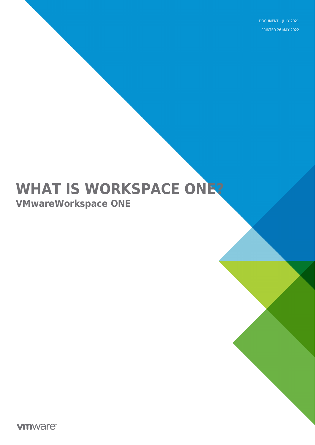DOCUMENT – JULY 2021 PRINTED 26 MAY 2022

# **WHAT IS WORKSPACE ONE? VMwareWorkspace ONE**

**vmware**<sup>®</sup>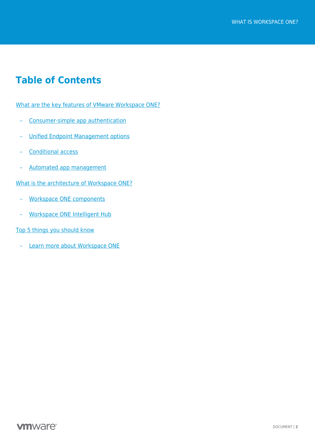### **Table of Contents**

[What are the key features of VMware Workspace ONE?](#page-2-0)

- [Consumer-simple app authentication](#page-2-1)
- [Unified Endpoint Management options](#page-3-0)
- [Conditional access](#page-3-1)
- [Automated app management](#page-4-0)

[What is the architecture of Workspace ONE?](#page-5-0)

- [Workspace ONE components](#page-5-1)
- [Workspace ONE Intelligent Hub](#page-7-0)

[Top 5 things you should know](#page-7-1)

– [Learn more about Workspace ONE](#page-8-0)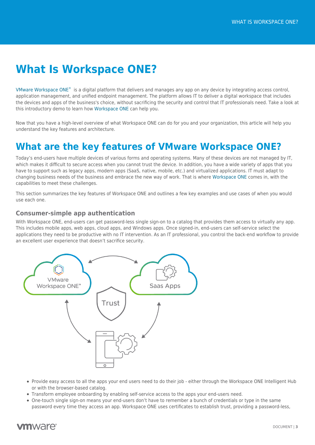## **What Is Workspace ONE?**

[VMware Workspace ONE](https://techzone.vmware.com/mastering-workspace-one) $^*$  is a digital platform that delivers and manages any app on any device by integrating access control, application management, and unified endpoint management. The platform allows IT to deliver a digital workspace that includes the devices and apps of the business's choice, without sacrificing the security and control that IT professionals need. Take a look at this introductory demo to learn how [Workspace ONE](https://www.vmware.com/products/workspace-one.html) can help you.

Now that you have a high-level overview of what Workspace ONE can do for you and your organization, this article will help you understand the key features and architecture.

### <span id="page-2-0"></span>**What are the key features of VMware Workspace ONE?**

Today's end-users have multiple devices of various forms and operating systems. Many of these devices are not managed by IT, which makes it difficult to secure access when you cannot trust the device. In addition, you have a wide variety of apps that you have to support such as legacy apps, modern apps (SaaS, native, mobile, etc.) and virtualized applications. IT must adapt to changing business needs of the business and embrace the new way of work. That is where [Workspace ONE](https://techzone.vmware.com/mastering-workspace-one) comes in, with the capabilities to meet these challenges.

This section summarizes the key features of Workspace ONE and outlines a few key examples and use cases of when you would use each one.

### <span id="page-2-1"></span>**Consumer-simple app authentication**

With Workspace ONE, end-users can get password-less single sign-on to a catalog that provides them access to virtually any app. This includes mobile apps, web apps, cloud apps, and Windows apps. Once signed-in, end-users can self-service select the applications they need to be productive with no IT intervention. As an IT professional, you control the back-end workflow to provide an excellent user experience that doesn't sacrifice security.



- Provide easy access to all the apps your end users need to do their job either through the Workspace ONE Intelligent Hub or with the browser-based catalog.
- Transform employee onboarding by enabling self-service access to the apps your end-users need.
- One-touch single sign-on means your end-users don't have to remember a bunch of credentials or type in the same password every time they access an app. Workspace ONE uses certificates to establish trust, providing a password-less,

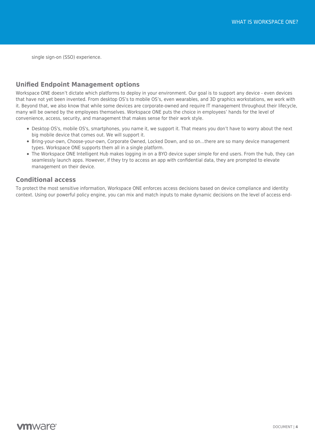single sign-on (SSO) experience.

### <span id="page-3-0"></span>**Unified Endpoint Management options**

Workspace ONE doesn't dictate which platforms to deploy in your environment. Our goal is to support any device - even devices that have not yet been invented. From desktop OS's to mobile OS's, even wearables, and 3D graphics workstations, we work with it. Beyond that, we also know that while some devices are corporate-owned and require IT management throughout their lifecycle, many will be owned by the employees themselves. Workspace ONE puts the choice in employees' hands for the level of convenience, access, security, and management that makes sense for their work style.

- Desktop OS's, mobile OS's, smartphones, you name it, we support it. That means you don't have to worry about the next big mobile device that comes out. We will support it.
- Bring-your-own, Choose-your-own, Corporate Owned, Locked Down, and so on…there are so many device management types. Workspace ONE supports them all in a single platform.
- The Workspace ONE Intelligent Hub makes logging in on a BYO device super simple for end users. From the hub, they can seamlessly launch apps. However, if they try to access an app with confidential data, they are prompted to elevate management on their device.

### <span id="page-3-1"></span>**Conditional access**

To protect the most sensitive information, Workspace ONE enforces access decisions based on device compliance and identity context. Using our powerful policy engine, you can mix and match inputs to make dynamic decisions on the level of access end-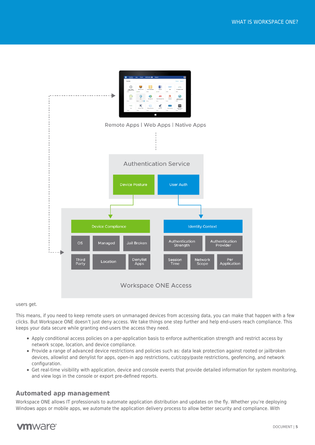

#### users get.

This means, if you need to keep remote users on unmanaged devices from accessing data, you can make that happen with a few clicks. But Workspace ONE doesn't just deny access. We take things one step further and help end-users reach compliance. This keeps your data secure while granting end-users the access they need.

- Apply conditional access policies on a per-application basis to enforce authentication strength and restrict access by network scope, location, and device compliance.
- Provide a range of advanced device restrictions and policies such as: data leak protection against rooted or jailbroken devices, allowlist and denylist for apps, open-in app restrictions, cut/copy/paste restrictions, geofencing, and network configuration.
- Get real-time visibility with application, device and console events that provide detailed information for system monitoring, and view logs in the console or export pre-defined reports.

#### <span id="page-4-0"></span>**Automated app management**

Workspace ONE allows IT professionals to automate application distribution and updates on the fly. Whether you're deploying Windows apps or mobile apps, we automate the application delivery process to allow better security and compliance. With

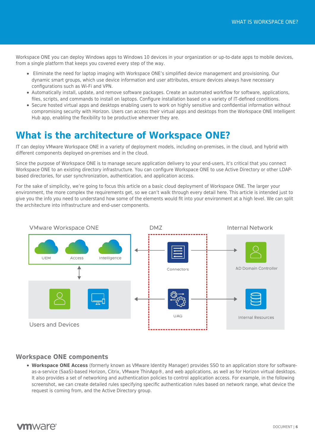Workspace ONE you can deploy Windows apps to Windows 10 devices in your organization or up-to-date apps to mobile devices, from a single platform that keeps you covered every step of the way.

- Eliminate the need for laptop imaging with Workspace ONE's simplified device management and provisioning. Our dynamic smart groups, which use device information and user attributes, ensure devices always have necessary configurations such as Wi-Fi and VPN.
- Automatically install, update, and remove software packages. Create an automated workflow for software, applications, files, scripts, and commands to install on laptops. Configure installation based on a variety of IT-defined conditions.
- Secure hosted virtual apps and desktops enabling users to work on highly sensitive and confidential information without compromising security with Horizon. Users can access their virtual apps and desktops from the Workspace ONE Intelligent Hub app, enabling the flexibility to be productive wherever they are.

### <span id="page-5-0"></span>**What is the architecture of Workspace ONE?**

IT can deploy VMware Workspace ONE in a variety of deployment models, including on-premises, in the cloud, and hybrid with different components deployed on-premises and in the cloud.

Since the purpose of Workspace ONE is to manage secure application delivery to your end-users, it's critical that you connect Workspace ONE to an existing directory infrastructure. You can configure Workspace ONE to use Active Directory or other LDAPbased directories, for user synchronization, authentication, and application access.

For the sake of simplicity, we're going to focus this article on a basic cloud deployment of Workspace ONE. The larger your environment, the more complex the requirements get, so we can't walk through every detail here. This article is intended just to give you the info you need to understand how some of the elements would fit into your environment at a high level. We can split the architecture into infrastructure and end-user components.



### <span id="page-5-1"></span>**Workspace ONE components**

**Workspace ONE Access** (formerly known as VMware Identity Manager) provides SSO to an application store for softwareas-a-service (SaaS)-based Horizon, Citrix, VMware ThinApp®, and web applications, as well as for Horizon virtual desktops. It also provides a set of networking and authentication policies to control application access. For example, in the following screenshot, we can create detailed rules specifying specific authentication rules based on network range, what device the request is coming from, and the Active Directory group.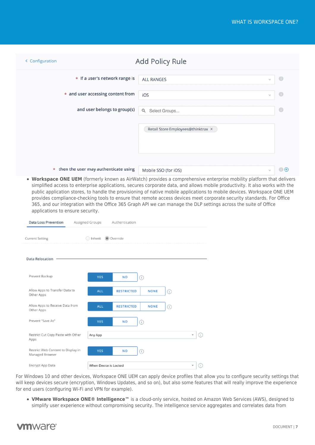| < Configuration                                 | Add Policy Rule                    |                   |  |  |  |  |
|-------------------------------------------------|------------------------------------|-------------------|--|--|--|--|
| * If a user's network range is                  | <b>ALL RANGES</b><br>$\sim$        | $\bigcirc$        |  |  |  |  |
| * and user accessing content from               | iOS<br>$\sim$                      | $\bigcirc$        |  |  |  |  |
| and user belongs to group(s)                    | Q<br>Select Groups                 | $\bigcirc$        |  |  |  |  |
|                                                 | Retail Store Employees@thinktrax × |                   |  |  |  |  |
| then the user may authenticate using<br>$\star$ | Mobile SSO (for iOS)<br>$\sim$     | $\left( +\right)$ |  |  |  |  |

**Workspace ONE UEM** (formerly known as AirWatch) provides a comprehensive enterprise mobility platform that delivers simplified access to enterprise applications, secures corporate data, and allows mobile productivity. It also works with the public application stores, to handle the provisioning of native mobile applications to mobile devices. Workspace ONE UEM provides compliance-checking tools to ensure that remote access devices meet corporate security standards. For Office 365, and our integration with the Office 365 Graph API we can manage the DLP settings across the suite of Office applications to ensure security.

| Data Loss Prevention                                  | Assigned Groups       | Authentication    |             |         |      |
|-------------------------------------------------------|-----------------------|-------------------|-------------|---------|------|
| <b>Current Setting</b>                                | Inherit (C) Override  |                   |             |         |      |
| <b>Data Relocation</b>                                |                       |                   |             |         |      |
| Prevent Backup                                        | <b>YES</b>            | NO                | ⊙           |         |      |
| Allow Apps to Transfer Data to<br>Other Apps          | <b>ALL</b>            | <b>RESTRICTED</b> | <b>NONE</b> | ⊙       |      |
| Allow Apps to Receive Data from<br>Other Apps         | <b>ALL</b>            | <b>RESTRICTED</b> | <b>NONE</b> | $\odot$ |      |
| Prevent "Save As"                                     | YES.                  | NO.               | ⋒           |         |      |
| Restrict Cut Copy Paste with Other<br>Apps            | Any App               |                   |             |         | ×∣(i |
| Restrict Web Content to Display in<br>Managed Browser | <b>YES</b>            | NO                | ⊙           |         |      |
| Encrypt App Data                                      | When Device is Locked |                   |             |         | ٧    |

For Windows 10 and other devices, Workspace ONE UEM can apply device profiles that allow you to configure security settings that will keep devices secure (encryption, Windows Updates, and so on), but also some features that will really improve the experience for end users (configuring Wi-Fi and VPN for example).

**VMware Workspace ONE® Intelligence™** is a cloud-only service, hosted on Amazon Web Services (AWS), designed to simplify user experience without compromising security. The intelligence service aggregates and correlates data from

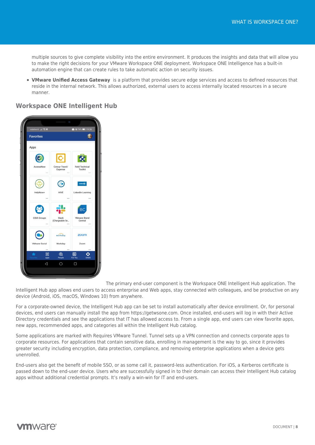multiple sources to give complete visibility into the entire environment. It produces the insights and data that will allow you to make the right decisions for your VMware Workspace ONE deployment. Workspace ONE Intelligence has a built-in automation engine that can create rules to take automatic action on security issues.

**VMware Unified Access Gateway** is a platform that provides secure edge services and access to defined resources that reside in the internal network. This allows authorized, external users to access internally located resources in a secure manner.

### <span id="page-7-0"></span>**Workspace ONE Intelligent Hub**



The primary end-user component is the Workspace ONE Intelligent Hub application. The

Intelligent Hub app allows end users to access enterprise and Web apps, stay connected with colleagues, and be productive on any device (Android, iOS, macOS, Windows 10) from anywhere.

For a corporate-owned device, the Intelligent Hub app can be set to install automatically after device enrollment. Or, for personal devices, end users can manually install the app from https://getwsone.com. Once installed, end-users will log in with their Active Directory credentials and see the applications that IT has allowed access to. From a single app, end users can view favorite apps, new apps, recommended apps, and categories all within the Intelligent Hub catalog.

Some applications are marked with Requires VMware Tunnel. Tunnel sets up a VPN connection and connects corporate apps to corporate resources. For applications that contain sensitive data, enrolling in management is the way to go, since it provides greater security including encryption, data protection, compliance, and removing enterprise applications when a device gets unenrolled.

<span id="page-7-1"></span>End-users also get the benefit of mobile SSO, or as some call it, password-less authentication. For iOS, a Kerberos certificate is passed down to the end-user device. Users who are successfully signed in to their domain can access their Intelligent Hub catalog apps without additional credential prompts. It's really a win-win for IT and end-users.

### **vm**ware<sup>®</sup>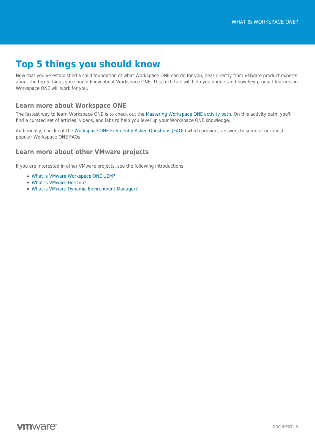## **Top 5 things you should know**

Now that you've established a solid foundation of what Workspace ONE can do for you, hear directly from VMware product experts about the top 5 things you should know about Workspace ONE. This tech talk will help you understand how key product features in Workspace ONE will work for you.

### <span id="page-8-0"></span>**Learn more about Workspace ONE**

The fastest way to learn Workspace ONE is to check out the [Mastering Workspace ONE activity path.](https://techzone.vmware.com/mastering-workspace-one) On this activity path, you'll find a curated set of articles, videos, and labs to help you level up your Workspace ONE knowledge.

Additionally, check out the [Workspace ONE Frequently Asked Questions \(FAQs\)](https://techzone.vmware.com/resource/vmware-workspace-one-frequently-asked-questions-faqs) which provides answers to some of our most popular Workspace ONE FAQs.

### **Learn more about other VMware projects**

If you are interested in other VMware projects, see the following introductions:

- [What Is VMware Workspace ONE UEM?](https://techzone.vmware.com/resource/what-vmware-workspace-one-unified-endpoint-management-uem)
- [What Is VMware Horizon?](https://techzone.vmware.com/resource/what-vmware-horizon)
- [What is VMware Dynamic Environment Manager?](https://techzone.vmware.com/resource/what-vmware-dynamic-environment-manager)